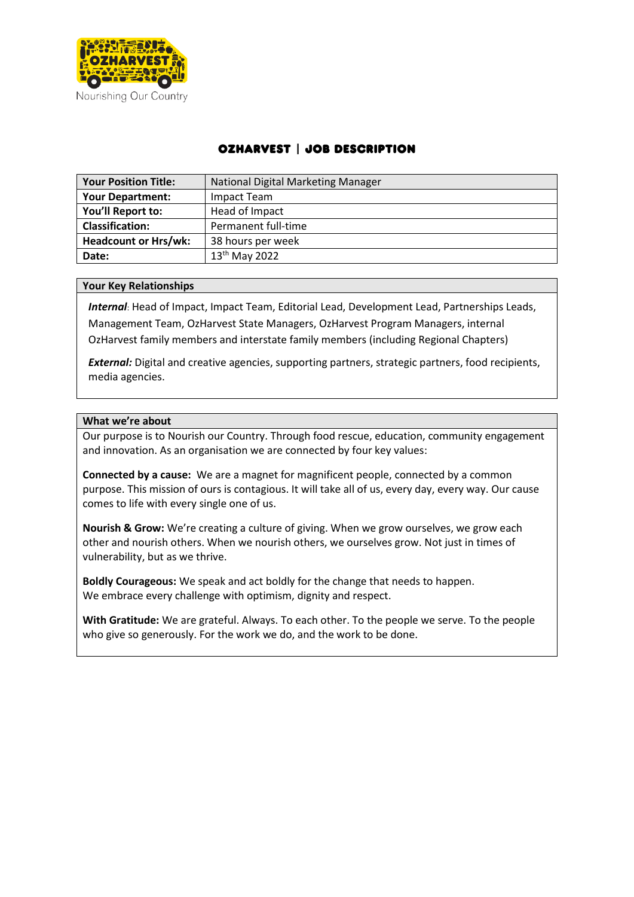

# OzHarvest | Job Description

| <b>Your Position Title:</b> | National Digital Marketing Manager |
|-----------------------------|------------------------------------|
| <b>Your Department:</b>     | Impact Team                        |
| You'll Report to:           | Head of Impact                     |
| <b>Classification:</b>      | Permanent full-time                |
| <b>Headcount or Hrs/wk:</b> | 38 hours per week                  |
| Date:                       | 13 <sup>th</sup> May 2022          |

### **Your Key Relationships**

*Internal*: Head of Impact, Impact Team, Editorial Lead, Development Lead, Partnerships Leads, Management Team, OzHarvest State Managers, OzHarvest Program Managers, internal OzHarvest family members and interstate family members (including Regional Chapters)

*External:* Digital and creative agencies, supporting partners, strategic partners, food recipients, media agencies.

### **What we're about**

Our purpose is to Nourish our Country. Through food rescue, education, community engagement and innovation. As an organisation we are connected by four key values:

**Connected by a cause:** We are a magnet for magnificent people, connected by a common purpose. This mission of ours is contagious. It will take all of us, every day, every way. Our cause comes to life with every single one of us.

**Nourish & Grow:** We're creating a culture of giving. When we grow ourselves, we grow each other and nourish others. When we nourish others, we ourselves grow. Not just in times of vulnerability, but as we thrive.

**Boldly Courageous:** We speak and act boldly for the change that needs to happen. We embrace every challenge with optimism, dignity and respect.

**With Gratitude:** We are grateful. Always. To each other. To the people we serve. To the people who give so generously. For the work we do, and the work to be done.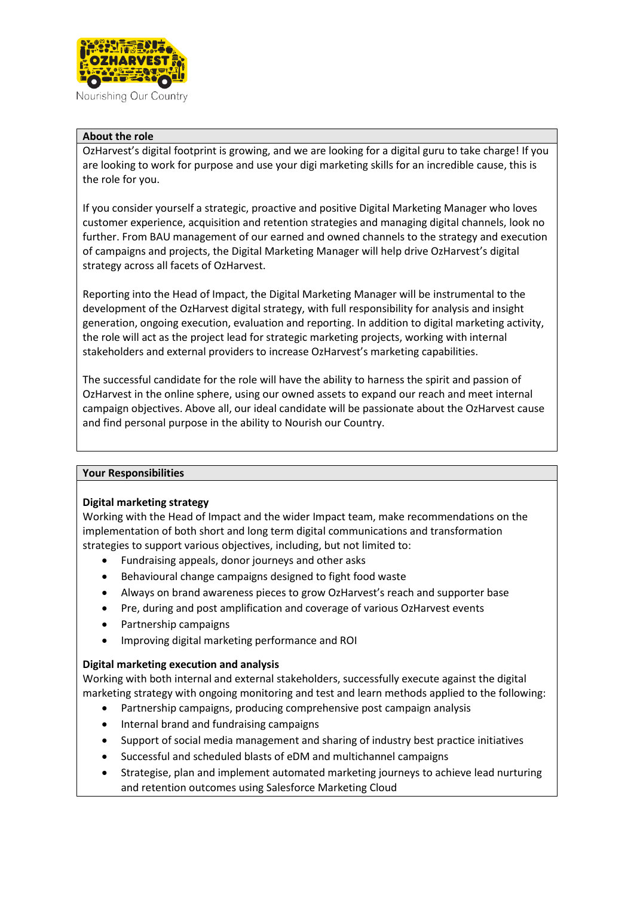

Nourishing Our Country

## **About the role**

OzHarvest's digital footprint is growing, and we are looking for a digital guru to take charge! If you are looking to work for purpose and use your digi marketing skills for an incredible cause, this is the role for you.

If you consider yourself a strategic, proactive and positive Digital Marketing Manager who loves customer experience, acquisition and retention strategies and managing digital channels, look no further. From BAU management of our earned and owned channels to the strategy and execution of campaigns and projects, the Digital Marketing Manager will help drive OzHarvest's digital strategy across all facets of OzHarvest.

Reporting into the Head of Impact, the Digital Marketing Manager will be instrumental to the development of the OzHarvest digital strategy, with full responsibility for analysis and insight generation, ongoing execution, evaluation and reporting. In addition to digital marketing activity, the role will act as the project lead for strategic marketing projects, working with internal stakeholders and external providers to increase OzHarvest's marketing capabilities.

The successful candidate for the role will have the ability to harness the spirit and passion of OzHarvest in the online sphere, using our owned assets to expand our reach and meet internal campaign objectives. Above all, our ideal candidate will be passionate about the OzHarvest cause and find personal purpose in the ability to Nourish our Country.

### **Your Responsibilities**

### **Digital marketing strategy**

Working with the Head of Impact and the wider Impact team, make recommendations on the implementation of both short and long term digital communications and transformation strategies to support various objectives, including, but not limited to:

- Fundraising appeals, donor journeys and other asks
- Behavioural change campaigns designed to fight food waste
- Always on brand awareness pieces to grow OzHarvest's reach and supporter base
- Pre, during and post amplification and coverage of various OzHarvest events
- Partnership campaigns
- Improving digital marketing performance and ROI

# **Digital marketing execution and analysis**

Working with both internal and external stakeholders, successfully execute against the digital marketing strategy with ongoing monitoring and test and learn methods applied to the following:

- Partnership campaigns, producing comprehensive post campaign analysis
- Internal brand and fundraising campaigns
- Support of social media management and sharing of industry best practice initiatives
- Successful and scheduled blasts of eDM and multichannel campaigns
- Strategise, plan and implement automated marketing journeys to achieve lead nurturing and retention outcomes using Salesforce Marketing Cloud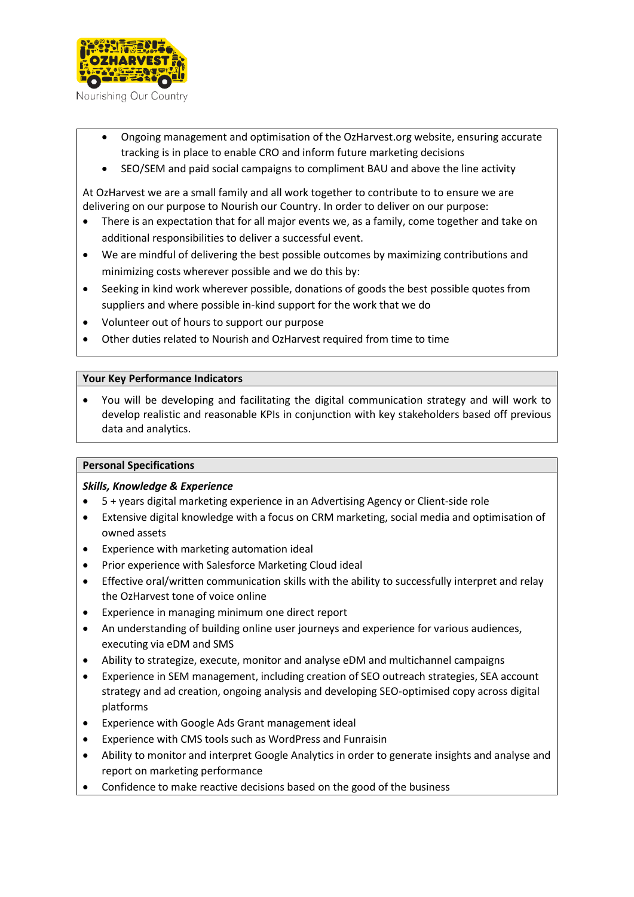

Nourishing Our Country

- Ongoing management and optimisation of the OzHarvest.org website, ensuring accurate tracking is in place to enable CRO and inform future marketing decisions
- SEO/SEM and paid social campaigns to compliment BAU and above the line activity

At OzHarvest we are a small family and all work together to contribute to to ensure we are delivering on our purpose to Nourish our Country. In order to deliver on our purpose:

- There is an expectation that for all major events we, as a family, come together and take on additional responsibilities to deliver a successful event.
- We are mindful of delivering the best possible outcomes by maximizing contributions and minimizing costs wherever possible and we do this by:
- Seeking in kind work wherever possible, donations of goods the best possible quotes from suppliers and where possible in-kind support for the work that we do
- Volunteer out of hours to support our purpose
- Other duties related to Nourish and OzHarvest required from time to time

## **Your Key Performance Indicators**

• You will be developing and facilitating the digital communication strategy and will work to develop realistic and reasonable KPIs in conjunction with key stakeholders based off previous data and analytics.

# **Personal Specifications**

# *Skills, Knowledge & Experience*

- 5 + years digital marketing experience in an Advertising Agency or Client-side role
- Extensive digital knowledge with a focus on CRM marketing, social media and optimisation of owned assets
- Experience with marketing automation ideal
- Prior experience with Salesforce Marketing Cloud ideal
- Effective oral/written communication skills with the ability to successfully interpret and relay the OzHarvest tone of voice online
- Experience in managing minimum one direct report
- An understanding of building online user journeys and experience for various audiences, executing via eDM and SMS
- Ability to strategize, execute, monitor and analyse eDM and multichannel campaigns
- Experience in SEM management, including creation of SEO outreach strategies, SEA account strategy and ad creation, ongoing analysis and developing SEO-optimised copy across digital platforms
- Experience with Google Ads Grant management ideal
- Experience with CMS tools such as WordPress and Funraisin
- Ability to monitor and interpret Google Analytics in order to generate insights and analyse and report on marketing performance
- Confidence to make reactive decisions based on the good of the business